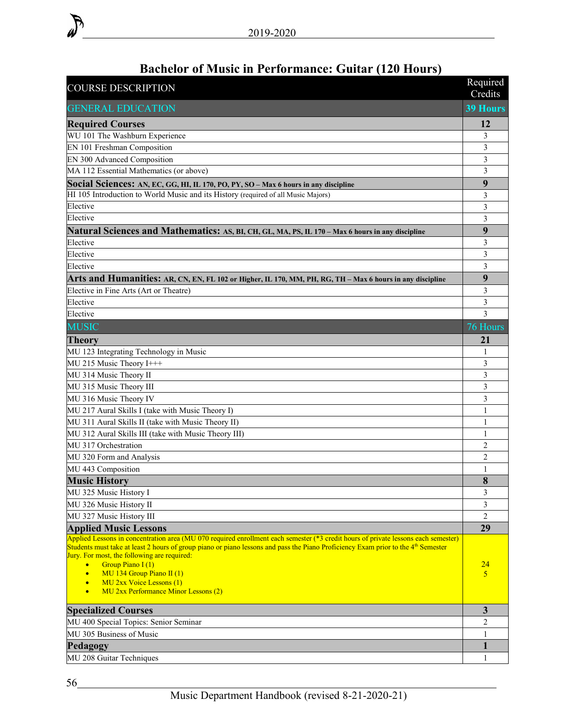| chciói oi music in i criormance. Guitar (120 fiours<br><b>COURSE DESCRIPTION</b>                                                              | Required<br>Credits      |
|-----------------------------------------------------------------------------------------------------------------------------------------------|--------------------------|
| <b>GENERAL EDUCATION</b>                                                                                                                      | <b>39 Hours</b>          |
| <b>Required Courses</b>                                                                                                                       | 12                       |
| WU 101 The Washburn Experience                                                                                                                | 3                        |
| EN 101 Freshman Composition                                                                                                                   | 3                        |
| EN 300 Advanced Composition                                                                                                                   | 3                        |
| MA 112 Essential Mathematics (or above)                                                                                                       | 3                        |
| Social Sciences: AN, EC, GG, HI, IL 170, PO, PY, SO - Max 6 hours in any discipline                                                           | 9                        |
| HI 105 Introduction to World Music and its History (required of all Music Majors)                                                             | 3                        |
| Elective                                                                                                                                      | 3                        |
| Elective                                                                                                                                      | 3                        |
| Natural Sciences and Mathematics: AS, BI, CH, GL, MA, PS, IL 170 - Max 6 hours in any discipline                                              | 9                        |
| Elective                                                                                                                                      | 3                        |
| Elective                                                                                                                                      | 3                        |
| Elective                                                                                                                                      | 3                        |
| Arts and Humanities: AR, CN, EN, FL 102 or Higher, IL 170, MM, PH, RG, TH – Max 6 hours in any discipline                                     | 9                        |
| Elective in Fine Arts (Art or Theatre)                                                                                                        | 3                        |
| Elective                                                                                                                                      | 3                        |
| Elective                                                                                                                                      | $\overline{3}$           |
| <b>MUSIC</b>                                                                                                                                  | 76 Hours                 |
| <b>Theory</b>                                                                                                                                 | 21                       |
| MU 123 Integrating Technology in Music                                                                                                        | 1                        |
| MU 215 Music Theory I+++                                                                                                                      | 3                        |
| MU 314 Music Theory II                                                                                                                        | 3                        |
| MU 315 Music Theory III                                                                                                                       | 3                        |
| MU 316 Music Theory IV                                                                                                                        | 3                        |
| MU 217 Aural Skills I (take with Music Theory I)                                                                                              | 1                        |
| MU 311 Aural Skills II (take with Music Theory II)                                                                                            | 1                        |
| MU 312 Aural Skills III (take with Music Theory III)                                                                                          | 1                        |
| MU 317 Orchestration                                                                                                                          | $\overline{c}$           |
| MU 320 Form and Analysis                                                                                                                      | $\overline{2}$           |
| MU 443 Composition                                                                                                                            | 1                        |
| <b>Music History</b>                                                                                                                          | 8                        |
| MU 325 Music History I                                                                                                                        | 3                        |
| MU 326 Music History II                                                                                                                       | 3                        |
| MU 327 Music History III                                                                                                                      | $\overline{2}$           |
| <b>Applied Music Lessons</b>                                                                                                                  | 29                       |
| Applied Lessons in concentration area (MU 070 required enrollment each semester (*3 credit hours of private lessons each semester)            |                          |
| Students must take at least 2 hours of group piano or piano lessons and pass the Piano Proficiency Exam prior to the 4 <sup>th</sup> Semester |                          |
| Jury. For most, the following are required:<br>Group Piano I(1)<br>$\bullet$                                                                  | <u>24</u>                |
| MU 134 Group Piano II (1)                                                                                                                     | $\overline{\mathcal{L}}$ |
| <b>MU 2xx Voice Lessons (1)</b><br>$\bullet$                                                                                                  |                          |
| MU 2xx Performance Minor Lessons (2)<br>$\bullet$                                                                                             |                          |
| <b>Specialized Courses</b>                                                                                                                    | $\overline{\mathbf{3}}$  |
| MU 400 Special Topics: Senior Seminar                                                                                                         | 2                        |
| MU 305 Business of Music                                                                                                                      | 1                        |
| Pedagogy                                                                                                                                      | 1                        |
| MU 208 Guitar Techniques                                                                                                                      | $\mathbf{1}$             |
|                                                                                                                                               |                          |

## **Bachelor of Music in Performance: Guitar (120 Hours)**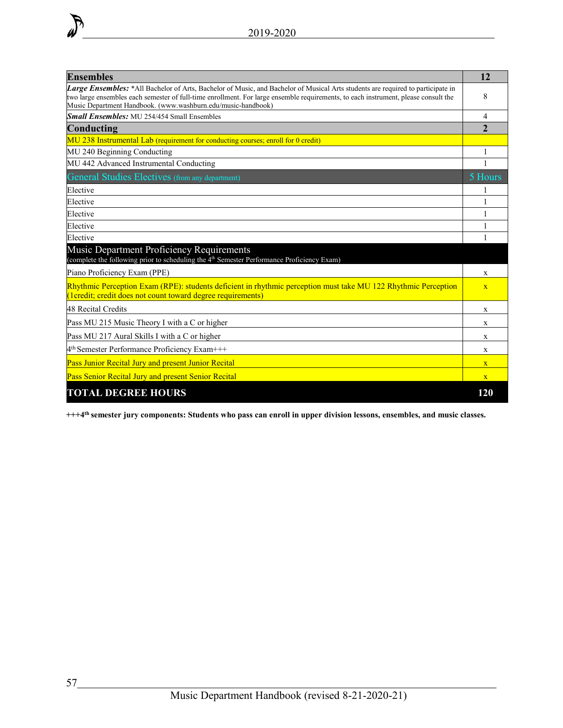

| <b>Ensembles</b>                                                                                                                                                                                                                                                                                                                      | 12                      |  |  |  |  |
|---------------------------------------------------------------------------------------------------------------------------------------------------------------------------------------------------------------------------------------------------------------------------------------------------------------------------------------|-------------------------|--|--|--|--|
| Large Ensembles: *All Bachelor of Arts, Bachelor of Music, and Bachelor of Musical Arts students are required to participate in<br>two large ensembles each semester of full-time enrollment. For large ensemble requirements, to each instrument, please consult the<br>Music Department Handbook. (www.washburn.edu/music-handbook) |                         |  |  |  |  |
| <b>Small Ensembles:</b> MU 254/454 Small Ensembles                                                                                                                                                                                                                                                                                    | 4                       |  |  |  |  |
| Conducting                                                                                                                                                                                                                                                                                                                            | $\mathbf{2}$            |  |  |  |  |
| MU 238 Instrumental Lab (requirement for conducting courses; enroll for 0 credit)                                                                                                                                                                                                                                                     |                         |  |  |  |  |
| MU 240 Beginning Conducting                                                                                                                                                                                                                                                                                                           |                         |  |  |  |  |
| MU 442 Advanced Instrumental Conducting                                                                                                                                                                                                                                                                                               | 1                       |  |  |  |  |
| General Studies Electives (from any department)                                                                                                                                                                                                                                                                                       | 5 Hours                 |  |  |  |  |
| Elective                                                                                                                                                                                                                                                                                                                              |                         |  |  |  |  |
| Elective                                                                                                                                                                                                                                                                                                                              | 1                       |  |  |  |  |
| Elective                                                                                                                                                                                                                                                                                                                              | 1                       |  |  |  |  |
| Elective                                                                                                                                                                                                                                                                                                                              |                         |  |  |  |  |
| Elective                                                                                                                                                                                                                                                                                                                              | 1                       |  |  |  |  |
| Music Department Proficiency Requirements<br>(complete the following prior to scheduling the 4 <sup>th</sup> Semester Performance Proficiency Exam)                                                                                                                                                                                   |                         |  |  |  |  |
| Piano Proficiency Exam (PPE)                                                                                                                                                                                                                                                                                                          |                         |  |  |  |  |
| Rhythmic Perception Exam (RPE): students deficient in rhythmic perception must take MU 122 Rhythmic Perception<br>(1credit; credit does not count toward degree requirements)                                                                                                                                                         | $\overline{\mathbf{X}}$ |  |  |  |  |
| 48 Recital Credits                                                                                                                                                                                                                                                                                                                    | X                       |  |  |  |  |
| Pass MU 215 Music Theory I with a C or higher                                                                                                                                                                                                                                                                                         | X                       |  |  |  |  |
| Pass MU 217 Aural Skills I with a C or higher                                                                                                                                                                                                                                                                                         | X                       |  |  |  |  |
| 4 <sup>th</sup> Semester Performance Proficiency Exam+++                                                                                                                                                                                                                                                                              | X                       |  |  |  |  |
| Pass Junior Recital Jury and present Junior Recital                                                                                                                                                                                                                                                                                   | $\overline{\mathbf{X}}$ |  |  |  |  |
| Pass Senior Recital Jury and present Senior Recital                                                                                                                                                                                                                                                                                   | $\mathbf{X}$            |  |  |  |  |
| <b>TOTAL DEGREE HOURS</b>                                                                                                                                                                                                                                                                                                             | 120                     |  |  |  |  |

**+++4th semester jury components: Students who pass can enroll in upper division lessons, ensembles, and music classes.**